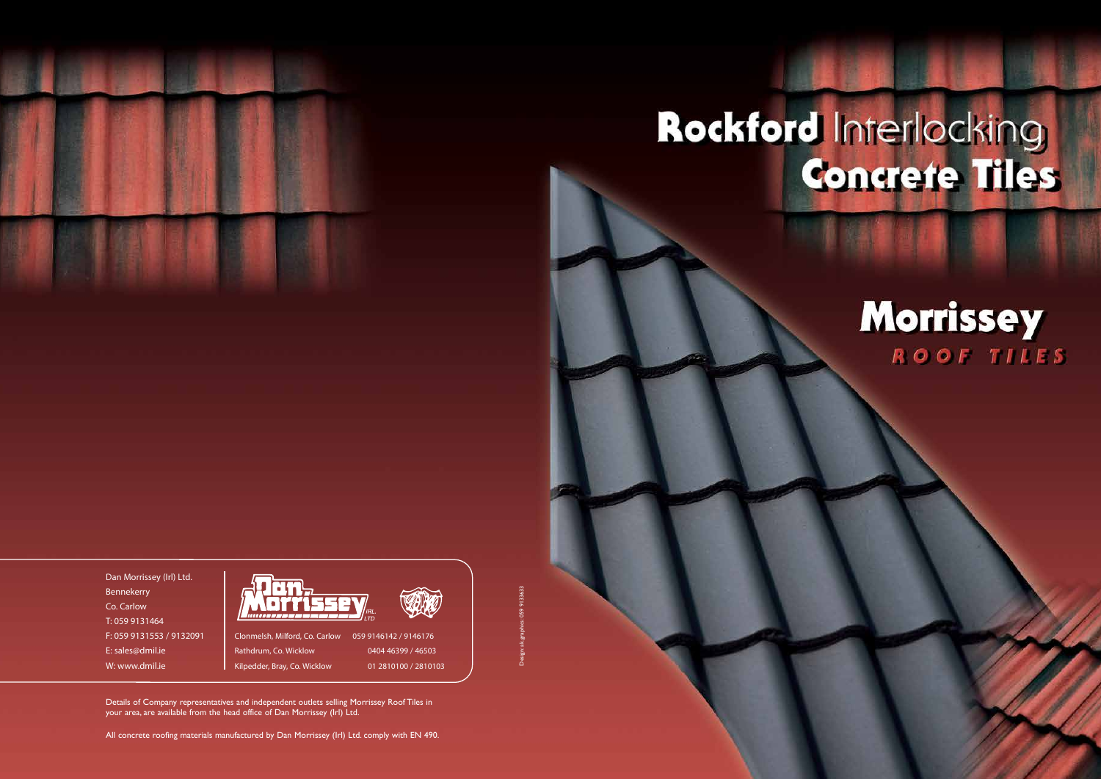

Dan Morrissey (Irl) Ltd. Bennekerry Co. Carlow T: 059 9131464 F: 059 9131553 / 9132091 E: sales@dmil.ie W: www.dmil.ie

Details of Company representatives and independent outlets selling Morrissey Roof Tiles in your area, are available from the head office of Dan Morrissey (Irl) Ltd.

All concrete roofing materials manufactured by Dan Morrissey (Irl) Ltd. comply with EN 490.

Design: ak.graphics: 059 9133633

# Rockford Interlocking

# **Morrissey** ROOF TILES